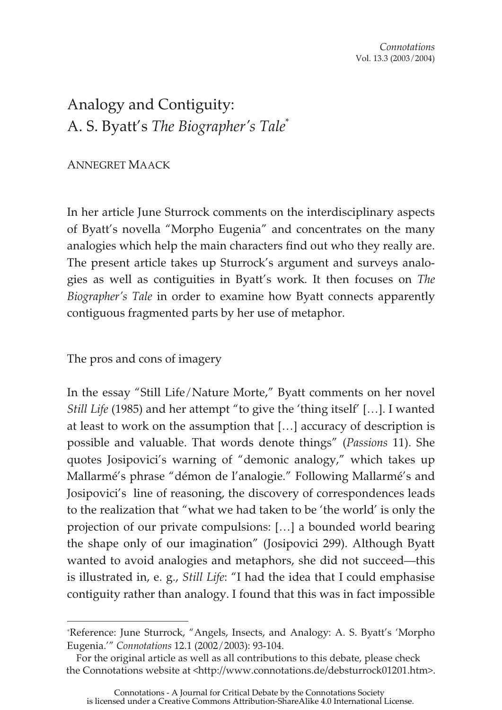Analogy and Contiguity: A. S. Byatt's *The Biographer's Tale*\*

## ANNEGRET MAACK

In her article June Sturrock comments on the interdisciplinary aspects of Byatt's novella "Morpho Eugenia" and concentrates on the many analogies which help the main characters find out who they really are. The present article takes up Sturrock's argument and surveys analogies as well as contiguities in Byatt's work. It then focuses on *The Biographer's Tale* in order to examine how Byatt connects apparently contiguous fragmented parts by her use of metaphor.

The pros and cons of imagery

In the essay "Still Life/Nature Morte," Byatt comments on her novel *Still Life* (1985) and her attempt "to give the 'thing itself' […]. I wanted at least to work on the assumption that […] accuracy of description is possible and valuable. That words denote things" (*Passions* 11). She quotes Josipovici's warning of "demonic analogy," which takes up Mallarmé's phrase "démon de l'analogie." Following Mallarmé's and Josipovici's line of reasoning, the discovery of correspondences leads to the realization that "what we had taken to be 'the world' is only the projection of our private compulsions: […] a bounded world bearing the shape only of our imagination" (Josipovici 299). Although Byatt wanted to avoid analogies and metaphors, she did not succeed—this is illustrated in, e. g., *Still Life*: "I had the idea that I could emphasise contiguity rather than analogy. I found that this was in fact impossible

<sup>\*</sup>Reference: June Sturrock, "Angels, Insects, and Analogy: A. S. Byatt's 'Morpho Eugenia.'" *Connotations* 12.1 (2002/2003): 93-104.

For the original article as well as all contributions to this debate, please check the Connotations website at <http://www.connotations.de/debsturrock01201.htm>.

Connotations - A Journal for Critical Debate by the Connotations Society is licensed under a Creative Commons Attribution-ShareAlike 4.0 International License.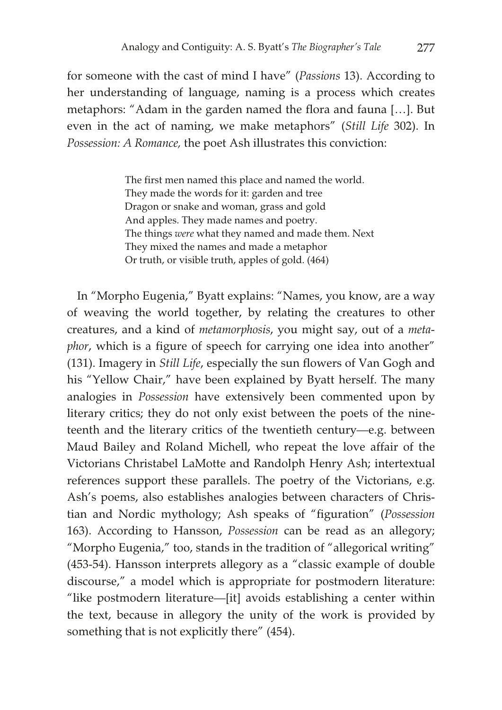for someone with the cast of mind I have" (*Passions* 13). According to her understanding of language, naming is a process which creates metaphors: "Adam in the garden named the flora and fauna […]. But even in the act of naming, we make metaphors" (*Still Life* 302). In *Possession: A Romance,* the poet Ash illustrates this conviction:

> The first men named this place and named the world. They made the words for it: garden and tree Dragon or snake and woman, grass and gold And apples. They made names and poetry. The things *were* what they named and made them. Next They mixed the names and made a metaphor Or truth, or visible truth, apples of gold. (464)

In "Morpho Eugenia," Byatt explains: "Names, you know, are a way of weaving the world together, by relating the creatures to other creatures, and a kind of *metamorphosis*, you might say, out of a *metaphor*, which is a figure of speech for carrying one idea into another" (131). Imagery in *Still Life*, especially the sun flowers of Van Gogh and his "Yellow Chair," have been explained by Byatt herself. The many analogies in *Possession* have extensively been commented upon by literary critics; they do not only exist between the poets of the nineteenth and the literary critics of the twentieth century—e.g. between Maud Bailey and Roland Michell, who repeat the love affair of the Victorians Christabel LaMotte and Randolph Henry Ash; intertextual references support these parallels. The poetry of the Victorians, e.g. Ash's poems, also establishes analogies between characters of Christian and Nordic mythology; Ash speaks of "figuration" (*Possession* 163). According to Hansson, *Possession* can be read as an allegory; "Morpho Eugenia," too, stands in the tradition of "allegorical writing" (453-54). Hansson interprets allegory as a "classic example of double discourse," a model which is appropriate for postmodern literature: "like postmodern literature—[it] avoids establishing a center within the text, because in allegory the unity of the work is provided by something that is not explicitly there" (454).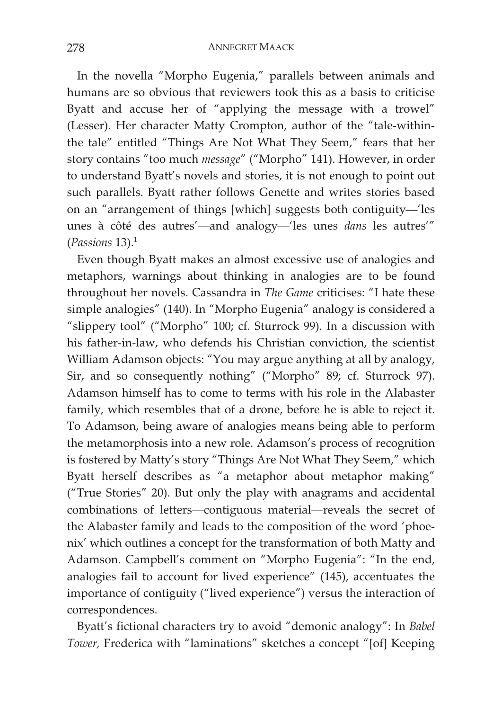In the novella "Morpho Eugenia," parallels between animals and humans are so obvious that reviewers took this as a basis to criticise Byatt and accuse her of "applying the message with a trowel" (Lesser). Her character Matty Crompton, author of the "tale-withinthe tale" entitled "Things Are Not What They Seem," fears that her story contains "too much *message*" ("Morpho" 141). However, in order to understand Byatt's novels and stories, it is not enough to point out such parallels. Byatt rather follows Genette and writes stories based on an "arrangement of things [which] suggests both contiguity—'les unes à côté des autres'—and analogy—'les unes *dans* les autres'" (*Passions* 13).<sup>1</sup>

Even though Byatt makes an almost excessive use of analogies and metaphors, warnings about thinking in analogies are to be found throughout her novels. Cassandra in *The Game* criticises: "I hate these simple analogies" (140). In "Morpho Eugenia" analogy is considered a "slippery tool" ("Morpho" 100; cf. Sturrock 99). In a discussion with his father-in-law, who defends his Christian conviction, the scientist William Adamson objects: "You may argue anything at all by analogy, Sir, and so consequently nothing" ("Morpho" 89; cf. Sturrock 97). Adamson himself has to come to terms with his role in the Alabaster family, which resembles that of a drone, before he is able to reject it. To Adamson, being aware of analogies means being able to perform the metamorphosis into a new role. Adamson's process of recognition is fostered by Matty's story "Things Are Not What They Seem," which Byatt herself describes as "a metaphor about metaphor making" ("True Stories" 20). But only the play with anagrams and accidental combinations of letters—contiguous material—reveals the secret of the Alabaster family and leads to the composition of the word 'phoenix' which outlines a concept for the transformation of both Matty and Adamson. Campbell's comment on "Morpho Eugenia": "In the end, analogies fail to account for lived experience" (145), accentuates the importance of contiguity ("lived experience") versus the interaction of correspondences.

Byatt's fictional characters try to avoid "demonic analogy": In *Babel Tower,* Frederica with "laminations" sketches a concept "[of] Keeping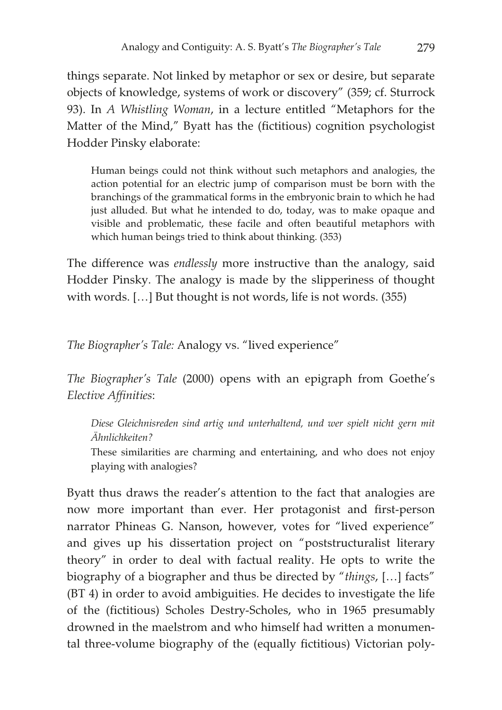things separate. Not linked by metaphor or sex or desire, but separate objects of knowledge, systems of work or discovery" (359; cf. Sturrock 93). In *A Whistling Woman*, in a lecture entitled "Metaphors for the Matter of the Mind," Byatt has the (fictitious) cognition psychologist Hodder Pinsky elaborate:

Human beings could not think without such metaphors and analogies, the action potential for an electric jump of comparison must be born with the branchings of the grammatical forms in the embryonic brain to which he had just alluded. But what he intended to do, today, was to make opaque and visible and problematic, these facile and often beautiful metaphors with which human beings tried to think about thinking. (353)

The difference was *endlessly* more instructive than the analogy, said Hodder Pinsky. The analogy is made by the slipperiness of thought with words. […] But thought is not words, life is not words. (355)

*The Biographer's Tale:* Analogy vs. "lived experience"

*The Biographer's Tale* (2000) opens with an epigraph from Goethe's *Elective Affinities*:

*Diese Gleichnisreden sind artig und unterhaltend, und wer spielt nicht gern mit Ähnlichkeiten?*

These similarities are charming and entertaining, and who does not enjoy playing with analogies?

Byatt thus draws the reader's attention to the fact that analogies are now more important than ever. Her protagonist and first-person narrator Phineas G. Nanson, however, votes for "lived experience" and gives up his dissertation project on "poststructuralist literary theory" in order to deal with factual reality. He opts to write the biography of a biographer and thus be directed by "*things*, […] facts" (BT 4) in order to avoid ambiguities. He decides to investigate the life of the (fictitious) Scholes Destry-Scholes, who in 1965 presumably drowned in the maelstrom and who himself had written a monumental three-volume biography of the (equally fictitious) Victorian poly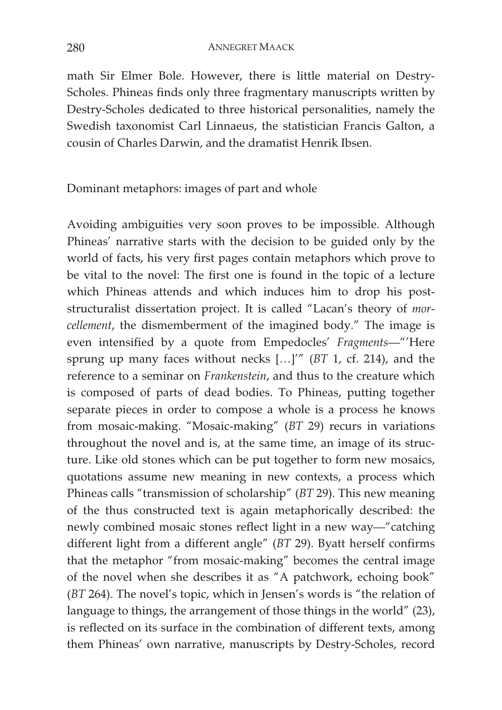math Sir Elmer Bole. However, there is little material on Destry-Scholes. Phineas finds only three fragmentary manuscripts written by Destry-Scholes dedicated to three historical personalities, namely the Swedish taxonomist Carl Linnaeus, the statistician Francis Galton, a cousin of Charles Darwin, and the dramatist Henrik Ibsen.

Dominant metaphors: images of part and whole

Avoiding ambiguities very soon proves to be impossible. Although Phineas' narrative starts with the decision to be guided only by the world of facts, his very first pages contain metaphors which prove to be vital to the novel: The first one is found in the topic of a lecture which Phineas attends and which induces him to drop his poststructuralist dissertation project. It is called "Lacan's theory of *morcellement*, the dismemberment of the imagined body." The image is even intensified by a quote from Empedocles' *Fragments*—"'Here sprung up many faces without necks […]'" (*BT* 1, cf. 214), and the reference to a seminar on *Frankenstein*, and thus to the creature which is composed of parts of dead bodies. To Phineas, putting together separate pieces in order to compose a whole is a process he knows from mosaic-making. "Mosaic-making" (*BT* 29) recurs in variations throughout the novel and is, at the same time, an image of its structure. Like old stones which can be put together to form new mosaics, quotations assume new meaning in new contexts, a process which Phineas calls "transmission of scholarship" (*BT* 29). This new meaning of the thus constructed text is again metaphorically described: the newly combined mosaic stones reflect light in a new way—"catching different light from a different angle" (*BT* 29). Byatt herself confirms that the metaphor "from mosaic-making" becomes the central image of the novel when she describes it as "A patchwork, echoing book" (*BT* 264). The novel's topic, which in Jensen's words is "the relation of language to things, the arrangement of those things in the world" (23), is reflected on its surface in the combination of different texts, among them Phineas' own narrative, manuscripts by Destry-Scholes, record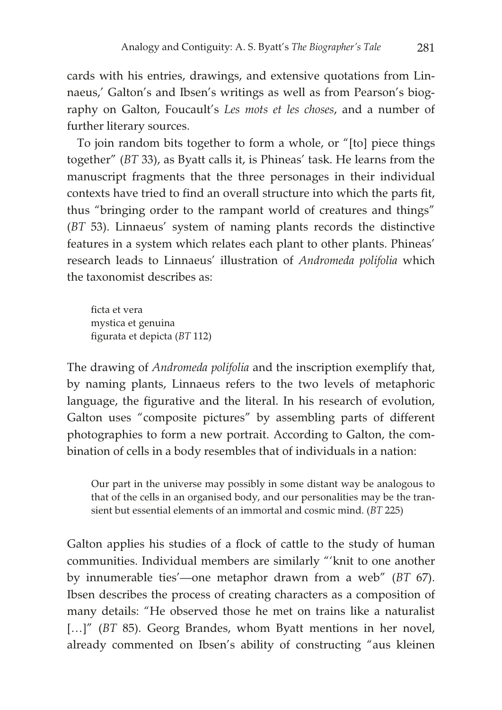cards with his entries, drawings, and extensive quotations from Linnaeus,' Galton's and Ibsen's writings as well as from Pearson's biography on Galton, Foucault's *Les mots et les choses*, and a number of further literary sources.

To join random bits together to form a whole, or "[to] piece things together" (*BT* 33), as Byatt calls it, is Phineas' task. He learns from the manuscript fragments that the three personages in their individual contexts have tried to find an overall structure into which the parts fit, thus "bringing order to the rampant world of creatures and things" (*BT* 53). Linnaeus' system of naming plants records the distinctive features in a system which relates each plant to other plants. Phineas' research leads to Linnaeus' illustration of *Andromeda polifolia* which the taxonomist describes as:

ficta et vera mystica et genuina figurata et depicta (*BT* 112)

The drawing of *Andromeda polifolia* and the inscription exemplify that, by naming plants, Linnaeus refers to the two levels of metaphoric language, the figurative and the literal. In his research of evolution, Galton uses "composite pictures" by assembling parts of different photographies to form a new portrait. According to Galton, the combination of cells in a body resembles that of individuals in a nation:

Our part in the universe may possibly in some distant way be analogous to that of the cells in an organised body, and our personalities may be the transient but essential elements of an immortal and cosmic mind. (*BT* 225)

Galton applies his studies of a flock of cattle to the study of human communities. Individual members are similarly "'knit to one another by innumerable ties'—one metaphor drawn from a web" (*BT* 67). Ibsen describes the process of creating characters as a composition of many details: "He observed those he met on trains like a naturalist [...]" (*BT* 85). Georg Brandes, whom Byatt mentions in her novel, already commented on Ibsen's ability of constructing "aus kleinen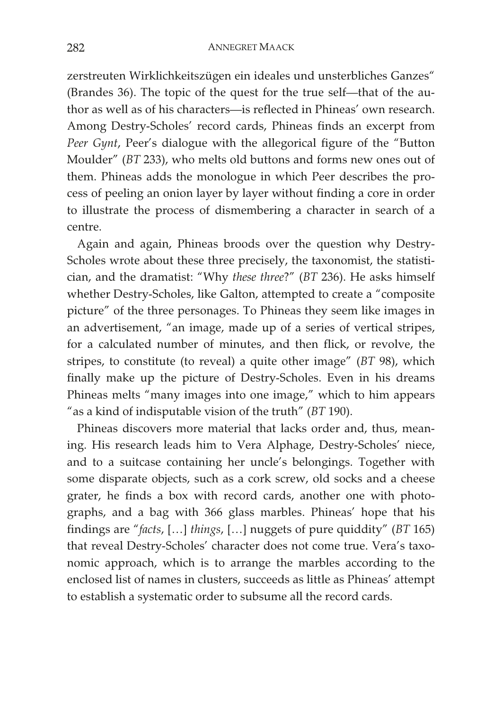zerstreuten Wirklichkeitszügen ein ideales und unsterbliches Ganzes" (Brandes 36). The topic of the quest for the true self—that of the author as well as of his characters—is reflected in Phineas' own research. Among Destry-Scholes' record cards, Phineas finds an excerpt from *Peer Gynt*, Peer's dialogue with the allegorical figure of the "Button Moulder" (*BT* 233), who melts old buttons and forms new ones out of them. Phineas adds the monologue in which Peer describes the process of peeling an onion layer by layer without finding a core in order to illustrate the process of dismembering a character in search of a centre.

Again and again, Phineas broods over the question why Destry-Scholes wrote about these three precisely, the taxonomist, the statistician, and the dramatist: "Why *these three*?" (*BT* 236). He asks himself whether Destry-Scholes, like Galton, attempted to create a "composite picture" of the three personages. To Phineas they seem like images in an advertisement, "an image, made up of a series of vertical stripes, for a calculated number of minutes, and then flick, or revolve, the stripes, to constitute (to reveal) a quite other image" (*BT* 98), which finally make up the picture of Destry-Scholes. Even in his dreams Phineas melts "many images into one image," which to him appears "as a kind of indisputable vision of the truth" (*BT* 190).

Phineas discovers more material that lacks order and, thus, meaning. His research leads him to Vera Alphage, Destry-Scholes' niece, and to a suitcase containing her uncle's belongings. Together with some disparate objects, such as a cork screw, old socks and a cheese grater, he finds a box with record cards, another one with photographs, and a bag with 366 glass marbles. Phineas' hope that his findings are "*facts*, […] *things*, […] nuggets of pure quiddity" (*BT* 165) that reveal Destry-Scholes' character does not come true. Vera's taxonomic approach, which is to arrange the marbles according to the enclosed list of names in clusters, succeeds as little as Phineas' attempt to establish a systematic order to subsume all the record cards.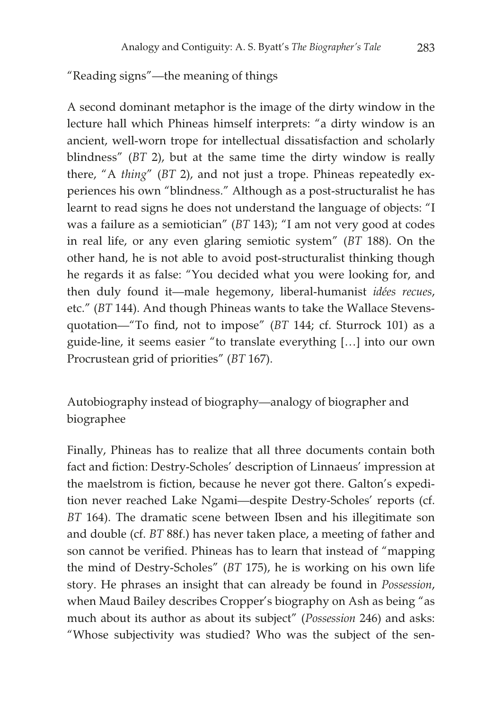"Reading signs"—the meaning of things

A second dominant metaphor is the image of the dirty window in the lecture hall which Phineas himself interprets: "a dirty window is an ancient, well-worn trope for intellectual dissatisfaction and scholarly blindness" (*BT* 2), but at the same time the dirty window is really there, "A *thing*" (*BT* 2), and not just a trope. Phineas repeatedly experiences his own "blindness." Although as a post-structuralist he has learnt to read signs he does not understand the language of objects: "I was a failure as a semiotician" (*BT* 143); "I am not very good at codes in real life, or any even glaring semiotic system" (*BT* 188). On the other hand, he is not able to avoid post-structuralist thinking though he regards it as false: "You decided what you were looking for, and then duly found it—male hegemony, liberal-humanist *idées recues*, etc." (*BT* 144). And though Phineas wants to take the Wallace Stevensquotation—"To find, not to impose" (*BT* 144; cf. Sturrock 101) as a guide-line, it seems easier "to translate everything […] into our own Procrustean grid of priorities" (*BT* 167).

Autobiography instead of biography—analogy of biographer and biographee

Finally, Phineas has to realize that all three documents contain both fact and fiction: Destry-Scholes' description of Linnaeus' impression at the maelstrom is fiction, because he never got there. Galton's expedition never reached Lake Ngami—despite Destry-Scholes' reports (cf. *BT* 164). The dramatic scene between Ibsen and his illegitimate son and double (cf. *BT* 88f.) has never taken place, a meeting of father and son cannot be verified. Phineas has to learn that instead of "mapping the mind of Destry-Scholes" (*BT* 175), he is working on his own life story. He phrases an insight that can already be found in *Possession*, when Maud Bailey describes Cropper's biography on Ash as being "as much about its author as about its subject" (*Possession* 246) and asks: "Whose subjectivity was studied? Who was the subject of the sen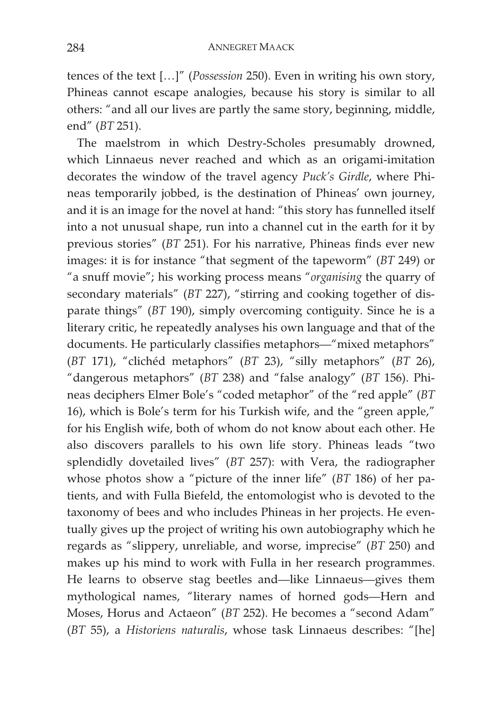tences of the text […]" (*Possession* 250). Even in writing his own story, Phineas cannot escape analogies, because his story is similar to all others: "and all our lives are partly the same story, beginning, middle, end" (*BT* 251).

The maelstrom in which Destry-Scholes presumably drowned, which Linnaeus never reached and which as an origami-imitation decorates the window of the travel agency *Puck's Girdle*, where Phineas temporarily jobbed, is the destination of Phineas' own journey, and it is an image for the novel at hand: "this story has funnelled itself into a not unusual shape, run into a channel cut in the earth for it by previous stories" (*BT* 251). For his narrative, Phineas finds ever new images: it is for instance "that segment of the tapeworm" (*BT* 249) or "a snuff movie"; his working process means "*organising* the quarry of secondary materials" (*BT* 227), "stirring and cooking together of disparate things" (*BT* 190), simply overcoming contiguity. Since he is a literary critic, he repeatedly analyses his own language and that of the documents. He particularly classifies metaphors—"mixed metaphors" (*BT* 171), "clichéd metaphors" (*BT* 23), "silly metaphors" (*BT* 26), "dangerous metaphors" (*BT* 238) and "false analogy" (*BT* 156). Phineas deciphers Elmer Bole's "coded metaphor" of the "red apple" (*BT* 16), which is Bole's term for his Turkish wife, and the "green apple," for his English wife, both of whom do not know about each other. He also discovers parallels to his own life story. Phineas leads "two splendidly dovetailed lives" (*BT* 257): with Vera, the radiographer whose photos show a "picture of the inner life" (*BT* 186) of her patients, and with Fulla Biefeld, the entomologist who is devoted to the taxonomy of bees and who includes Phineas in her projects. He eventually gives up the project of writing his own autobiography which he regards as "slippery, unreliable, and worse, imprecise" (*BT* 250) and makes up his mind to work with Fulla in her research programmes. He learns to observe stag beetles and—like Linnaeus—gives them mythological names, "literary names of horned gods—Hern and Moses, Horus and Actaeon" (*BT* 252). He becomes a "second Adam" (*BT* 55), a *Historiens naturalis*, whose task Linnaeus describes: "[he]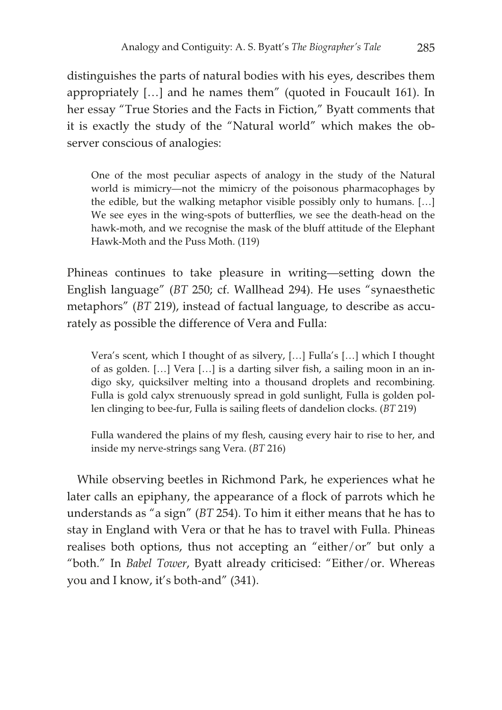distinguishes the parts of natural bodies with his eyes, describes them appropriately […] and he names them" (quoted in Foucault 161). In her essay "True Stories and the Facts in Fiction," Byatt comments that it is exactly the study of the "Natural world" which makes the observer conscious of analogies:

One of the most peculiar aspects of analogy in the study of the Natural world is mimicry—not the mimicry of the poisonous pharmacophages by the edible, but the walking metaphor visible possibly only to humans. […] We see eyes in the wing-spots of butterflies, we see the death-head on the hawk-moth, and we recognise the mask of the bluff attitude of the Elephant Hawk-Moth and the Puss Moth. (119)

Phineas continues to take pleasure in writing—setting down the English language" (*BT* 250; cf. Wallhead 294). He uses "synaesthetic metaphors" (*BT* 219), instead of factual language, to describe as accurately as possible the difference of Vera and Fulla:

Vera's scent, which I thought of as silvery, […] Fulla's […] which I thought of as golden. […] Vera […] is a darting silver fish, a sailing moon in an indigo sky, quicksilver melting into a thousand droplets and recombining. Fulla is gold calyx strenuously spread in gold sunlight, Fulla is golden pollen clinging to bee-fur, Fulla is sailing fleets of dandelion clocks. (*BT* 219)

Fulla wandered the plains of my flesh, causing every hair to rise to her, and inside my nerve-strings sang Vera. (*BT* 216)

While observing beetles in Richmond Park, he experiences what he later calls an epiphany, the appearance of a flock of parrots which he understands as "a sign" (*BT* 254). To him it either means that he has to stay in England with Vera or that he has to travel with Fulla. Phineas realises both options, thus not accepting an "either/or" but only a "both." In *Babel Tower*, Byatt already criticised: "Either/or. Whereas you and I know, it's both-and" (341).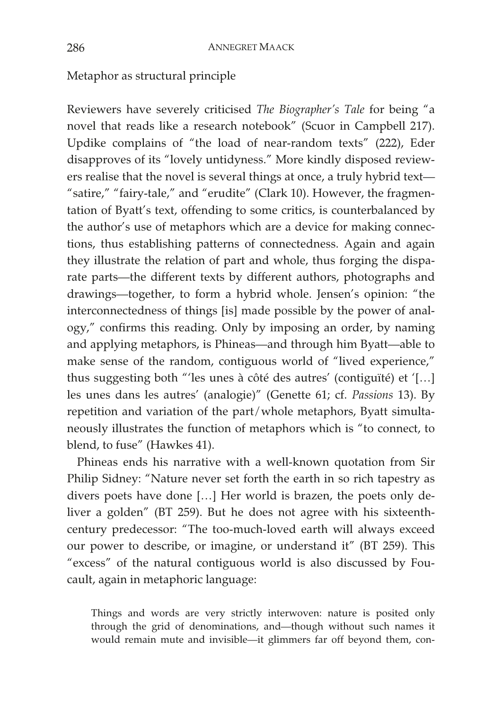Metaphor as structural principle

Reviewers have severely criticised *The Biographer's Tale* for being "a novel that reads like a research notebook" (Scuor in Campbell 217). Updike complains of "the load of near-random texts" (222), Eder disapproves of its "lovely untidyness." More kindly disposed reviewers realise that the novel is several things at once, a truly hybrid text— "satire," "fairy-tale," and "erudite" (Clark 10). However, the fragmentation of Byatt's text, offending to some critics, is counterbalanced by the author's use of metaphors which are a device for making connections, thus establishing patterns of connectedness. Again and again they illustrate the relation of part and whole, thus forging the disparate parts—the different texts by different authors, photographs and drawings—together, to form a hybrid whole. Jensen's opinion: "the interconnectedness of things [is] made possible by the power of analogy," confirms this reading. Only by imposing an order, by naming and applying metaphors, is Phineas—and through him Byatt—able to make sense of the random, contiguous world of "lived experience," thus suggesting both "'les unes à côté des autres' (contiguïté) et '[…] les unes dans les autres' (analogie)" (Genette 61; cf. *Passions* 13). By repetition and variation of the part/whole metaphors, Byatt simultaneously illustrates the function of metaphors which is "to connect, to blend, to fuse" (Hawkes 41).

Phineas ends his narrative with a well-known quotation from Sir Philip Sidney: "Nature never set forth the earth in so rich tapestry as divers poets have done […] Her world is brazen, the poets only deliver a golden" (BT 259). But he does not agree with his sixteenthcentury predecessor: "The too-much-loved earth will always exceed our power to describe, or imagine, or understand it" (BT 259). This "excess" of the natural contiguous world is also discussed by Foucault, again in metaphoric language:

Things and words are very strictly interwoven: nature is posited only through the grid of denominations, and—though without such names it would remain mute and invisible—it glimmers far off beyond them, con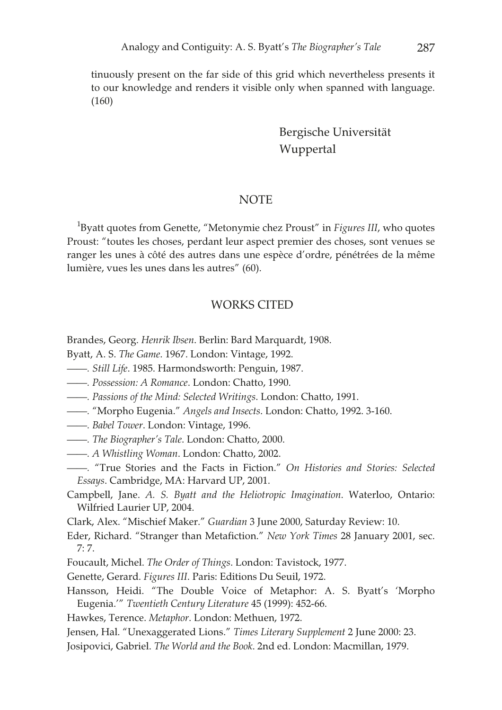tinuously present on the far side of this grid which nevertheless presents it to our knowledge and renders it visible only when spanned with language. (160)

> Bergische Universität Wuppertal

## **NOTE**

<sup>1</sup>Byatt quotes from Genette, "Metonymie chez Proust" in *Figures III*, who quotes Proust: "toutes les choses, perdant leur aspect premier des choses, sont venues se ranger les unes à côté des autres dans une espèce d'ordre, pénétrées de la même lumière, vues les unes dans les autres" (60).

## WORKS CITED

Brandes, Georg. *Henrik Ibsen*. Berlin: Bard Marquardt, 1908.

Byatt, A. S. *The Game*. 1967. London: Vintage, 1992.

- *——. Still Life*. 1985. Harmondsworth: Penguin, 1987.
- *——. Possession: A Romance*. London: Chatto, 1990.
- *——. Passions of the Mind: Selected Writings*. London: Chatto, 1991.
- *——.* "Morpho Eugenia." *Angels and Insects*. London: Chatto, 1992. 3-160.
- *——. Babel Tower*. London: Vintage, 1996.
- *——. The Biographer's Tale*. London: Chatto, 2000.
- *——. A Whistling Woman*. London: Chatto, 2002.
- *——.* "True Stories and the Facts in Fiction." *On Histories and Stories: Selected Essays*. Cambridge, MA: Harvard UP, 2001.
- Campbell, Jane. *A. S. Byatt and the Heliotropic Imagination*. Waterloo, Ontario: Wilfried Laurier UP, 2004.

Clark, Alex. "Mischief Maker." *Guardian* 3 June 2000, Saturday Review: 10.

- Eder, Richard. "Stranger than Metafiction." *New York Times* 28 January 2001, sec. 7: 7.
- Foucault, Michel. *The Order of Things*. London: Tavistock, 1977.
- Genette, Gerard. *Figures III*. Paris: Editions Du Seuil, 1972.
- Hansson, Heidi. "The Double Voice of Metaphor: A. S. Byatt's 'Morpho Eugenia.'" *Twentieth Century Literature* 45 (1999): 452-66.
- Hawkes, Terence. *Metaphor*. London: Methuen, 1972.

Jensen, Hal. "Unexaggerated Lions." *Times Literary Supplement* 2 June 2000: 23.

Josipovici, Gabriel. *The World and the Book*. 2nd ed. London: Macmillan, 1979.